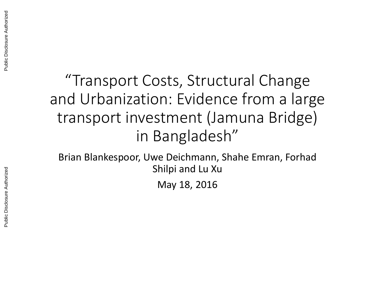# "Transport Costs, Structural Change and Urbanization: Evidence from a large transport investment (Jamuna Bridge) in Bangladesh"

Brian Blankespoor, Uwe Deichmann, Shahe Emran, Forhad Shilpi and Lu Xu

May 18, 2016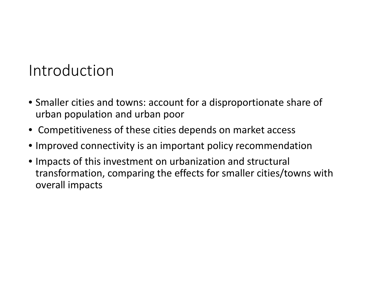## Introduction

- Smaller cities and towns: account for <sup>a</sup> disproportionate share of urban population and urban poor
- Competitiveness of these cities depends on market access
- Improved connectivity is an important policy recommendation
- Impacts of this investment on urbanization and structural transformation, comparing the effects for smaller cities/towns with overall impacts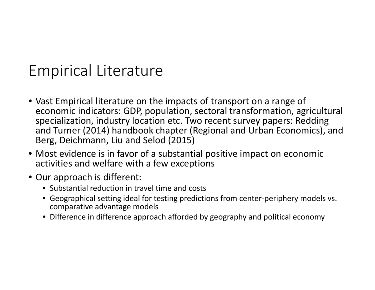## Empirical Literature

- Vast Empirical literature on the impacts of transport on <sup>a</sup> range of economic indicators: GDP, population, sectoral transformation, agricultural specialization, industry location etc. Two recent survey papers: Redding and Turner (2014) handbook chapter (Regional and Urban Economics), and Berg, Deichmann, Liu and Selod (2015)
- Most evidence is in favor of <sup>a</sup> substantial positive impact on economic activities and welfare with <sup>a</sup> few exceptions
- Our approach is different:
	- Substantial reduction in travel time and costs
	- Geographical setting ideal for testing predictions from center‐periphery models vs. comparative advantage models
	- Difference in difference approach afforded by geography and political economy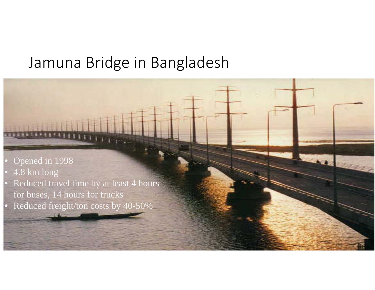### Jamuna Bridge in Bangladesh

 $\overline{z}$ 

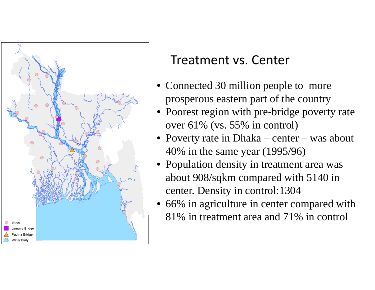

#### Treatment vs. Center

- Connected 30 million people to more prosperous eastern part of the country
- • Poorest region with pre-bridge poverty rate over 61% (vs. 55% in control)
- Poverty rate in Dhaka center was about 40% in the same year (1995/96)
- • Population density in treatment area was about 908/sqkm compared with 5140 in center. Density in control:1304
- • 66% in agriculture in center compared with 81% in treatment area and 71% in control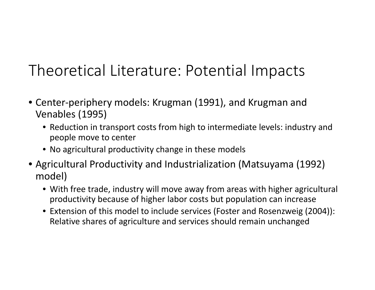# Theoretical Literature: Potential Impacts

- Center‐periphery models: Krugman (1991), and Krugman and Venables (1995)
	- Reduction in transport costs from high to intermediate levels: industry and people move to center
	- No agricultural productivity change in these models
- Agricultural Productivity and Industrialization (Matsuyama (1992) model)
	- With free trade, industry will move away from areas with higher agricultural productivity because of higher labor costs but population can increase
	- Extension of this model to include services (Foster and Rosenzweig (2004)): Relative shares of agriculture and services should remain unchanged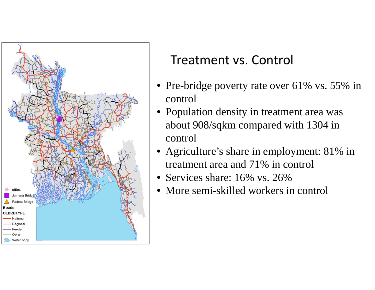

#### Treatment vs. Control

- Pre-bridge poverty rate over 61% vs. 55% in control
- $\bullet$  Population density in treatment area was about 908/sqkm compared with 1304 in control
- • Agriculture's share in employment: 81% in treatment area and 71% in control
- $\bullet$ Services share: 16% vs. 26%
- $\bullet$ More semi-skilled workers in control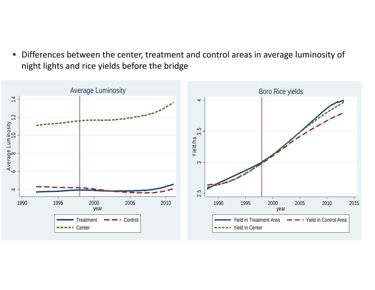$\bullet$  Differences between the center, treatment and control areas in average luminosity of night lights and rice yields before the bridge

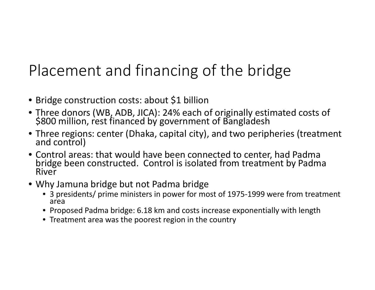# Placement and financing of the bridge

- Bridge construction costs: about \$1 billion
- Three donors (WB, ADB, JICA): 24% each of originally estimated costs of \$800 million, rest financed by government of Bangladesh
- Three regions: center (Dhaka, capital city), and two peripheries (treatment<br>and control) and control)
- Control areas: that would have been connected to center, had Padma bridge been constructed. Control is isolated from treatment by Padma River
- Why Jamuna bridge but not Padma bridge
	- 3 presidents/ prime ministers in power for most of 1975‐1999 were from treatment area
	- Proposed Padma bridge: 6.18 km and costs increase exponentially with length
	- Treatment area was the poorest region in the country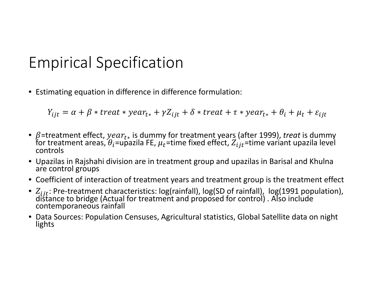## Empirical Specification

• Estimating equation in difference in difference formulation:

 $Y_{i j t} = \alpha + \beta * treat * year_{t*} + \gamma Z_{i j t} + \delta * treat + \tau * year_{t*} + \theta_i + \mu_t + \varepsilon_{i j t}$ 

- β=treatment effect,  $year_t_*$  is dummy for treatment years (after 1999), *treat* is dummy for treatment areas.  $θ_i$ =upazila FE,  $u_t$ =time fixed effect,  $Z_i{}_{it}$ =time variant upazila level for treatment areas,  $\theta_i$ =upazila FE,  $\mu_t$ =time fixed effect,  $Z_{ijt}$ =time variant upazila level<br>controls
- Upazilas in Rajshahi division are in treatment group and upazilas in Barisal and Khulna are control groups
- Coefficient of interaction of treatment years and treatment group is the treatment effect
- $Z_{ijt}$ : Pre-treatment characteristics: log(rainfall), log(SD of rainfall), log(1991 population), distance to bridge (Actual for treatment and proposed for control) . Also include contemporaneous rainfall
- Data Sources: Population Censuses, Agricultural statistics, Global Satellite data on night lights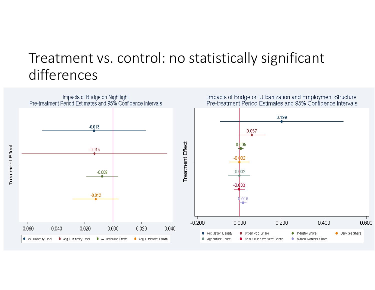### Treatment vs. control: no statistically significant differences

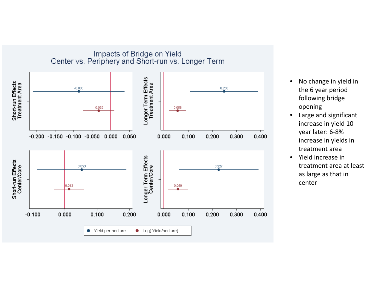

- $\bullet$ • No change in yield in the 6 year period following bridge opening
- • Large and significant increase in yield 10 year later: 6‐8% increase in yields in treatment area
- $\bullet$  Yield increase in treatment area at least as large as that in center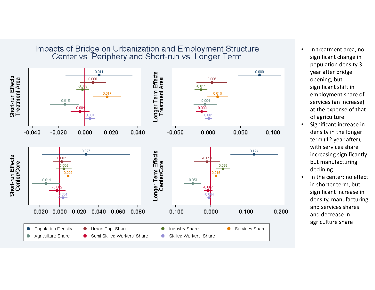

- •• In treatment area, no significant change in population density 3 year after bridge opening, but significant shift in employment share of services (an increase) at the expense of that of agriculture
- • Significant increase in density in the longer term (12 year after), with services share increasing significantly but manufacturing declining
- $\bullet$   $\;$  In the center: no effect in shorter term, but significant increase in density, manufacturing and services shares and decrease in agriculture share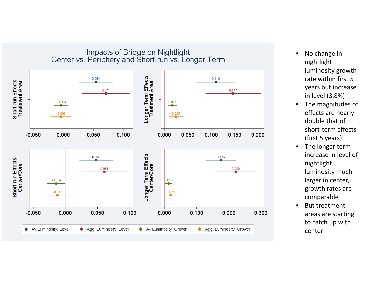

- $\bullet$ • No change in nightlight luminosity growth rate within first 5years but increase in level (3.8%)
- $\bullet$ • The magnitudes of effects are nearly double that of short‐term effects (first 5 years)
- $\bullet$ • The longer term increase in level of nightlight luminosity much larger in center, growth rates are comparable
- • But treatment areas are starting to catch up with center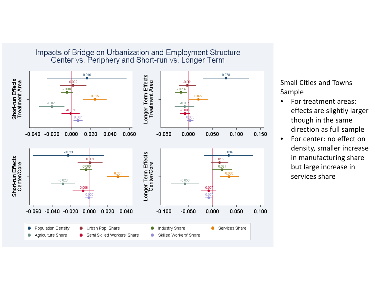

Small Cities and Towns Sample

- • For treatment areas: effects are slightly larger though in the same direction as full sample
- •• For center: no effect on density, smaller increase in manufacturing share but large increase in services share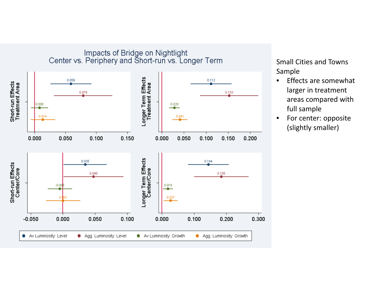

Impacts of Bridge on Nightlight<br>Center vs. Periphery and Short-run vs. Longer Term

Small Cities and Towns Sample

- •• Effects are somewhat larger in treatment areas compared with full sample
- • For center: opposite (slightly smaller)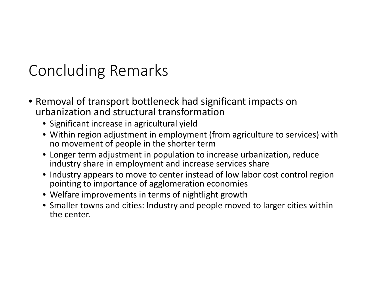## Concluding Remarks

- Removal of transport bottleneck had significant impacts on urbanization and structural transformation
	- Significant increase in agricultural yield
	- Within region adjustment in employment (from agriculture to services) with no movement of people in the shorter term
	- Longer term adjustment in population to increase urbanization, reduce industry share in employment and increase services share
	- Industry appears to move to center instead of low labor cost control region pointing to importance of agglomeration economies
	- Welfare improvements in terms of nightlight growth
	- Smaller towns and cities: Industry and people moved to larger cities within the center.